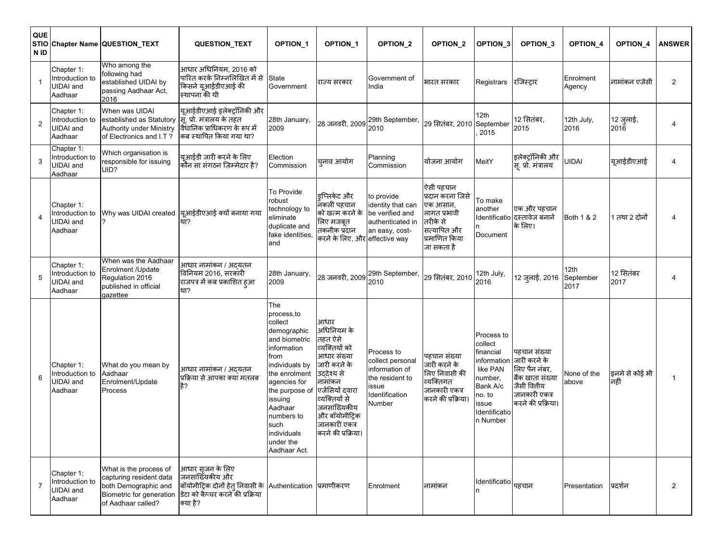| QUE<br>N ID    |                                                              | STIO Chapter Name QUESTION_TEXT                                                                                             | <b>QUESTION_TEXT</b>                                                                                                                              | <b>OPTION 1</b>                                                                                                                                                                                                                                    | OPTION_1                                                                                                                                                                                                             | OPTION_2                                                                                               | OPTION <sub>2</sub>                                                                                                 | <b>OPTION 3</b>                                                                                                                      | OPTION_3                                                                                                               | OPTION_4                  | OPTION <sub>4</sub>    | <b>ANSWER</b>  |
|----------------|--------------------------------------------------------------|-----------------------------------------------------------------------------------------------------------------------------|---------------------------------------------------------------------------------------------------------------------------------------------------|----------------------------------------------------------------------------------------------------------------------------------------------------------------------------------------------------------------------------------------------------|----------------------------------------------------------------------------------------------------------------------------------------------------------------------------------------------------------------------|--------------------------------------------------------------------------------------------------------|---------------------------------------------------------------------------------------------------------------------|--------------------------------------------------------------------------------------------------------------------------------------|------------------------------------------------------------------------------------------------------------------------|---------------------------|------------------------|----------------|
|                | Chapter 1:<br>Introduction to<br><b>UIDAI</b> and<br>Aadhaar | Who among the<br>following had<br>established UIDAI by<br>passing Aadhaar Act,<br>2016                                      | आधार अधिनियम, 2016 को<br>पारित करके निम्नलिखित में से<br> <br>किसने यूआईडीएआई की<br>स्थापना की थी                                                 | State<br>Government                                                                                                                                                                                                                                | राज्य सरकार                                                                                                                                                                                                          | Government of<br>India                                                                                 | भारत सरकार                                                                                                          | Registrars                                                                                                                           | रजिस्ट्रार                                                                                                             | Enrolment<br>Agency       | नामांकन एजेंसी         | $\overline{2}$ |
| $\overline{2}$ | Chapter 1:<br>Introduction to<br>UIDAI and<br>Aadhaar        | When was UIDAI<br>established as Statutory<br>Authority under Ministry<br>of Electronics and I.T?                           | यूआईडीएआई इलेक्ट्रॉनिकी और<br>सि. प्रो. मंत्रालय के तहत<br>विधानिक प्राधिकरण के रूप में<br>किब स्थापित किया गया था?                               | 28th January,<br>2009                                                                                                                                                                                                                              | 28 जनवरी, 2009                                                                                                                                                                                                       | 29th September,<br>2010                                                                                | 29 सितंबर, 2010 September                                                                                           | 12th<br>2015                                                                                                                         | 12 सितंबर,<br>2015                                                                                                     | 12th July,<br>2016        | 12 जुलाई,<br>2016      |                |
| 3              | Chapter 1:<br>Introduction to<br><b>UIDAI</b> and<br>Aadhaar | Which organisation is<br>responsible for issuing<br>UID?                                                                    | यूआईडी जारी करने के लिए<br>कौन सा संगठन ज़िम्मेदार है?                                                                                            | Election<br>Commission                                                                                                                                                                                                                             | च्नाव आयोग                                                                                                                                                                                                           | Planning<br>Commission                                                                                 | योजना आयोग                                                                                                          | MeitY                                                                                                                                | इलेक्ट्रॉनिकी और<br>स्. प्रो. मंत्रालय                                                                                 | <b>JIDAI</b>              | यूआईडीएआई              | 4              |
| 4              | Chapter 1:<br>Introduction to<br><b>UIDAI</b> and<br>Aadhaar |                                                                                                                             | Why was UIDAI created यूआईडीएआई क्यों बनाया गया<br>?                                                                                              | To Provide<br>robust<br>technology to<br>eliminate<br>duplicate and<br>fake identities,<br>and                                                                                                                                                     | इप्लिकेट और<br>नकली पहचान<br>को खत्म करने के<br>लिए मजबूत<br>तकनीक प्रदान<br>करने के लिए, और effective way                                                                                                           | to provide<br>identity that can<br>be verified and<br>authenticated in<br>an easy, cost-               | ऐसी पहचान<br>प्रदान करना जिसे<br>एक आसान,<br>लागत प्रभावी<br>तरीके से<br>सत्यापित और<br>प्रमाणित किया<br>जा सकता है | To make<br>another<br>Document                                                                                                       | एक और पहचान<br>Identificatio दस्तावेज बनाने<br>के लिए।                                                                 | Both 1 & 2                | 1 तथा 2 दोनों          | 4              |
| 5              | Chapter 1:<br>Introduction to<br><b>UIDAI</b> and<br>Aadhaar | When was the Aadhaar<br>Enrolment /Update<br>Regulation 2016<br>published in official<br>gazettee                           | आधार नामांकन / अद्यतन<br>विनियम 2016, सरकारी<br>राजपत्र में कब प्रकाशित हुआ<br>था?                                                                | 28th January,<br>2009                                                                                                                                                                                                                              | 28 जनवरी, 2009                                                                                                                                                                                                       | 29th September,<br>2010                                                                                | 29 सितंबर, 2010                                                                                                     | 12th July,<br>2016                                                                                                                   | 12 जुलाई, 2016                                                                                                         | 12th<br>September<br>2017 | 12 सितंबर<br>2017      | 4              |
| 6              | Chapter 1:<br>Introduction to<br>UIDAI and<br>Aadhaar        | What do you mean by<br>Aadhaar<br>Enrolment/Update<br>Process                                                               | आधार नामांकन / अद्यतन<br>प्रक्रिया से आपका क्या मतलब<br>है?                                                                                       | The<br>process, to<br>collect<br>demographic<br>and biometric<br>information<br>from<br>individuals by<br>the enrolment<br>agencies for<br>the purpose of<br>issuing<br>Aadhaar<br>numbers to<br>such<br>lindividuals<br>under the<br>Aadhaar Act. | आधार<br>अधिनियम के<br>तहत ऐसे<br>व्यक्तियों को<br>आधार संख्या<br>जारी करने के<br>उद्देश्य से<br>नामांकन<br>एजेंसियों दवारा<br>व्यक्तियों से<br>जनसांख्यिकीय<br>और बॉयोमीट्रिक<br>जानकारी एकत्र<br>करने की प्रक्रिया। | Process to<br>collect personal<br>information of<br>the resident to<br>ssue<br>dentification<br>Number | पहचान संख्या<br>जारी करने के<br>लिए निवासी की<br>व्यक्तिगत<br>जानकारी एकत्र<br>करने की प्रक्रिया।                   | Process to<br>collect<br>financial<br>information<br>like PAN<br>number,<br>Bank A/c<br>no. to<br>issue<br>Identificatio<br>n Number | पहचान संख्या<br>जारी करने के<br>लिए पैन नंबर,<br>बैंक खाता संख्या<br>जैसी वितीय<br>जानकारी एकत्र<br>करने की प्रक्रिया। | None of the<br>above      | इनमे से कोई भी<br>नहीं | $\mathbf{1}$   |
| $\overline{7}$ | Chapter 1:<br>Introduction to<br><b>UIDAI</b> and<br>Aadhaar | What is the process of<br>capturing resident data<br>both Demographic and<br>Biometric for generation<br>of Aadhaar called? | आधार स़जन के लिए<br>जनसांख्यिकीय और<br>बॉयोमीट्रिक दोनों हेत् निवासी के Authentication प्रमाणीकरण<br>डेटा को कैप्चर करने की प्रक्रिया<br>क्या है? |                                                                                                                                                                                                                                                    |                                                                                                                                                                                                                      | Enrolment                                                                                              | नामांकन                                                                                                             | Identificatio                                                                                                                        | पहचान                                                                                                                  | Presentation              | प्रदर्शन               | $\overline{2}$ |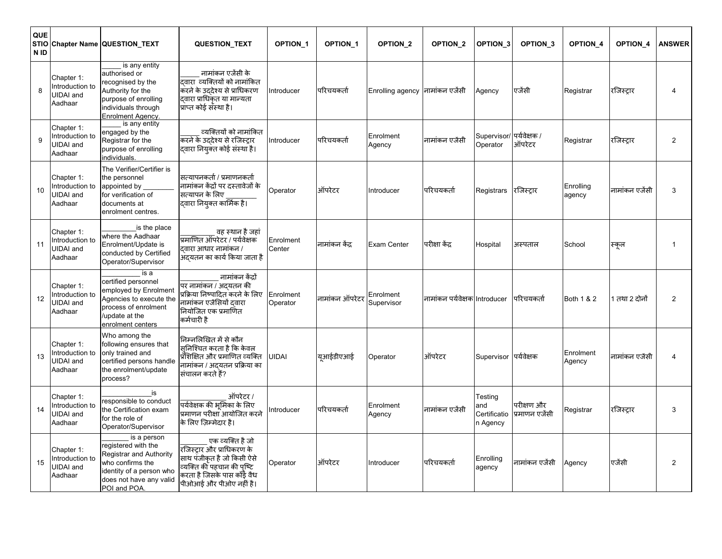| QUE<br><b>STIO</b><br>N ID |                                                              | Chapter Name QUESTION_TEXT                                                                                                                               | QUESTION_TEXT                                                                                                                                                     | OPTION_1              | <b>OPTION 1</b> | OPTION_2                         | OPTION_2                      | OPTION <sub>3</sub>                        | OPTION <sub>3</sub>          | OPTION_4            | OPTION <sub>4</sub> | <b>ANSWER</b>  |
|----------------------------|--------------------------------------------------------------|----------------------------------------------------------------------------------------------------------------------------------------------------------|-------------------------------------------------------------------------------------------------------------------------------------------------------------------|-----------------------|-----------------|----------------------------------|-------------------------------|--------------------------------------------|------------------------------|---------------------|---------------------|----------------|
| 8                          | Chapter 1:<br>Introduction to<br>JIDAI and<br>Aadhaar        | is any entity<br>authorised or<br>recognised by the<br>Authority for the<br>purpose of enrolling<br>individuals through<br><b>Enrolment Agency.</b>      | नामांकन एजेंसी के<br>दवारा व्यक्तियों को नामांकित<br>करने के उद्देश्य से प्राधिकरण<br>दवारा प्राधिकृत या मान्यता<br>प्राप्त कोई संस्था है।                        | Introducer            | परिचयकर्ता      | Enrolling agency  नामांकन एजेंसी |                               | Agency                                     | एजेंसी                       | Registrar           | रजिस्ट्रार          | 4              |
| 9                          | Chapter 1:<br>Introduction to<br>JIDAI and<br>Aadhaar        | is any entity<br>engaged by the<br>Registrar for the<br>purpose of enrolling<br>individuals.                                                             | व्यक्तियों को नामांकित<br>करने के उद्देश्य से रजिस्ट्रार<br>दवारा नियुक्त कोई संस्था है।                                                                          | Introducer            | परिचयकर्ता      | Enrolment<br>Agency              | नामांकन एजेंसी                | Supervisor/<br>Operator                    | पर्यवेक्षक /<br>ऑपरेटर       | Registrar           | रजिस्ट्रार          | 2              |
| 10                         | Chapter 1:<br>Introduction to<br>JIDAI and<br>Aadhaar        | The Verifier/Certifier is<br>the personnel<br>appointed by<br>for verification of<br>documents at<br>enrolment centres.                                  | सत्यापनकर्ता / प्रमाणनकर्ता<br>नामांकन केंद्रों पर दस्तावेजों के<br>सत्यापन के लिए<br>दवारा नियुक्त कार्मिक है।                                                   | Operator              | ऑपरेटर          | Introducer                       | परिचयकर्ता                    | Registrars                                 | रजिस्ट्रार                   | Enrolling<br>agency | नामांकन एजेंसी      | 3              |
| 11                         | Chapter 1:<br>Introduction to<br><b>UIDAI</b> and<br>Aadhaar | is the place<br>where the Aadhaar<br>Enrolment/Update is<br>conducted by Certified<br>Operator/Supervisor                                                | ़वह स्थान है जहां<br>प्रमाणित ऑपरेटर / पर्यवेक्षक<br>दवारा आधार नामांकन /<br>अदयतन का कार्य किया जाता है                                                          | Enrolment<br>Center   | नामांकन केंद्र  | Exam Center                      | परीक्षा केंद्र                | Hospital                                   | अस्पताल                      | School              | स्कूल               | $\overline{1}$ |
| 12                         | Chapter 1:<br>ntroduction to<br><b>UIDAI</b> and<br>Aadhaar  | is a<br>certified personnel<br>employed by Enrolment<br>Agencies to execute the<br>process of enrolment<br>/update at the<br>enrolment centers           | नामांकन केंद्रों<br>पर नामांकन / अद्यतन की<br>प्रक्रिया निष्पादित करने के लिए<br>नामांकन एजेंसियों दवारा<br>नियोजित एक प्रमाणित<br>कर्मचारी है                    | Enrolment<br>Operator | नामांकन ऑपरेटर  | Enrolment<br>Supervisor          | नामांकन पर्यवेक्षक Introducer |                                            | परिचयकर्ता                   | Both 1 & 2          | 1 तथा 2 दोनों       | $\overline{2}$ |
| 13                         | Chapter 1:<br>ntroduction to<br>UIDAI and<br>Aadhaar         | Who among the<br>following ensures that<br>only trained and<br>certified persons handle<br>the enrolment/update<br>process?                              | निम्नलिखित में से कौन<br>सनिश्चित करता है कि केवल<br>प्रौशिक्षित और प्रमाणित व्यक्ति<br>नामांकन / अदयतन प्रक्रिया का<br>संचालन करते हैं?                          | <b>UIDAI</b>          | यूआईडीएआई       | Operator                         | ऑपरेटर                        | Supervisor                                 | पर्यवेक्षक                   | Enrolment<br>Agency | नामांकन एजेंसी      | 4              |
| 14                         | Chapter 1:<br>Introduction to<br><b>UIDAI</b> and<br>Aadhaar | is<br>responsible to conduct<br>the Certification exam<br>for the role of<br>Operator/Supervisor                                                         | ऑपरेटर /<br>पर्यवेक्षक की भूमिका के लिए<br>प्रमाणन परीक्षा आयोजित करने<br>के लिए जिम्मेदार है।                                                                    | Introducer            | परिचयकर्ता      | Enrolment<br>Agency              | नामांकन एजेंसी                | Testing<br>and<br>Certificatio<br>n Agency | परीक्षण और<br>प्रमाणन एजेंसी | Registrar           | रजिस्ट्रार          | 3              |
| 15                         | Chapter 1:<br>ntroduction to<br><b>JIDAI</b> and<br>Aadhaar  | is a person<br>registered with the<br>Registrar and Authority<br>who confirms the<br>identity of a person who<br>does not have any valid<br>POI and POA. | एक व्यक्ति है जो<br>रजिस्ट्रार और प्राधिकरण के<br>साथ पंजीकृत है जो किसी ऐसे<br>व्यक्ति की पहचान की पुष्टि<br>करता है जिसके पास कोई वैध<br>पीओआई और पीओए नहीं है। | Operator              | ऑपरेटर          | Introducer                       | परिचयकर्ता                    | Enrolling<br>agency                        | नामांकन एजेंसी               | Agency              | एजेंसी              | $\overline{c}$ |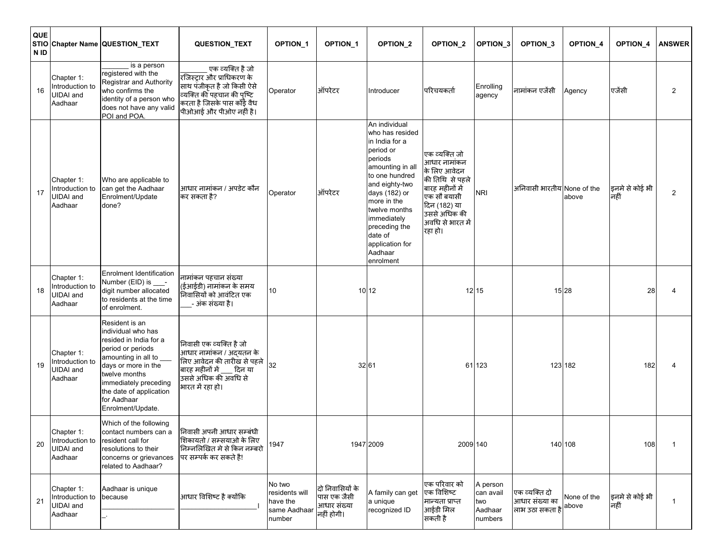| QUE<br>N <sub>ID</sub> |                                                                      | STIO Chapter Name QUESTION_TEXT                                                                                                                                                                                                               | QUESTION_TEXT                                                                                                                                                          | <b>OPTION 1</b>                                                | <b>OPTION 1</b>                                             | OPTION_2                                                                                                                                                                                                                                                                  | OPTION <sub>2</sub>                                                                                                                                               | OPTION_3                                           | OPTION <sub>_3</sub>                               | OPTION_4             | <b>OPTION 4</b>        | <b>ANSWER</b> |
|------------------------|----------------------------------------------------------------------|-----------------------------------------------------------------------------------------------------------------------------------------------------------------------------------------------------------------------------------------------|------------------------------------------------------------------------------------------------------------------------------------------------------------------------|----------------------------------------------------------------|-------------------------------------------------------------|---------------------------------------------------------------------------------------------------------------------------------------------------------------------------------------------------------------------------------------------------------------------------|-------------------------------------------------------------------------------------------------------------------------------------------------------------------|----------------------------------------------------|----------------------------------------------------|----------------------|------------------------|---------------|
| 16                     | Chapter 1:<br>Introduction to<br>JIDAI and<br>Aadhaar                | is a person<br>registered with the<br>Registrar and Authority<br>who confirms the<br>identity of a person who<br>does not have any valid<br>POI and POA.                                                                                      | एक व्यक्ति है जो<br>.<br>रजिस्ट्रार और प्राधिकरण के<br>साथ पंजीकृत है जो किसी ऐसे<br>व्यक्ति की पहचान की पुष्टि<br>करता है जिसके पास कोई वैध<br>पीओआई और पीओए नहीं है। | Operator                                                       | ऑपरेटर                                                      | Introducer                                                                                                                                                                                                                                                                | परिचयकर्ता                                                                                                                                                        | Enrolling<br>agency                                | नामांकन एजेंसी                                     | Agency               | एजेंसी                 | 2             |
| 17                     | Chapter 1:<br>Introduction to<br>JIDAI and<br>Aadhaar                | Who are applicable to<br>can get the Aadhaar<br>Enrolment/Update<br>done?                                                                                                                                                                     | आधार नामांकन / अपडेट कौन<br>कर सकता है?                                                                                                                                | Operator                                                       | ऑपरेटर                                                      | An individual<br>who has resided<br>in India for a<br>period or<br>periods<br>amounting in all<br>to one hundred<br>and eighty-two<br>days (182) or<br>more in the<br>twelve months<br>immediately<br>preceding the<br>date of<br>application for<br>Aadhaar<br>enrolment | एक व्यक्ति जो<br>आधार नामांकन<br>के लिए आवेदन<br>की तिथि से पहले<br>बारह महीनों में<br>एक सौ बयासी<br>दिन (182) या<br>उससे अधिक की<br>अवधि से भारत में<br>रहा हो। | <b>NRI</b>                                         | अनिवासी भारतीय None of the                         | above                | इनमे से कोई भी<br>नहीं | 2             |
| 18                     | Chapter 1:<br>Introduction to<br>JIDAI and<br>Aadhaar                | Enrolment Identification<br>Number (EID) is ___-<br>digit number allocated<br>to residents at the time<br>of enrolment.                                                                                                                       | नामांकन पहचान संख्या<br>(ईआईडी) नामांकन के समय<br>निवासियों को आवंटित एक<br>_- अंक संख्या है।                                                                          | 10                                                             |                                                             | 10 12                                                                                                                                                                                                                                                                     |                                                                                                                                                                   | 12 15                                              |                                                    | 15 28                | 28                     | 4             |
| 19                     | Chapter 1:<br>Introduction to<br><b>JIDAI</b> and<br>Aadhaar         | Resident is an<br>individual who has<br>resided in India for a<br>period or periods<br>amounting in all to __<br>days or more in the<br>twelve months<br>immediately preceding<br>the date of application<br>for Aadhaar<br>Enrolment/Update. | निवासी एक व्यक्ति है जो<br>आधार नामांकन / अदयतन के<br>लिए आवेदन की तारीख से पहले<br>बारह महीनों में ____ दिन या<br>उससे अधिक की अवधि से<br>भारत में रहा हो।            | 32                                                             |                                                             | 32 61                                                                                                                                                                                                                                                                     |                                                                                                                                                                   | 61 123                                             |                                                    | 123 182              | 182                    | 4             |
| 20                     | Chapter 1:<br>UIDAI and<br>Aadhaar                                   | Which of the following<br>contact numbers can a<br>Introduction to resident call for<br>resolutions to their<br>concerns or grievances<br>related to Aadhaar?                                                                                 | निवासी अपनी आधार सम्बंधी<br>शिकायतो / सम्सयाओ के लिए<br>निम्नलिखित मे से किन नम्बरो<br>पर सम्पर्क कर सकते है!                                                          | 1947                                                           |                                                             | 1947 2009                                                                                                                                                                                                                                                                 | 2009 140                                                                                                                                                          |                                                    |                                                    | 140 108              | 108                    | -1            |
| 21                     | Chapter 1:<br>Introduction to because<br><b>UIDAI</b> and<br>Aadhaar | Aadhaar is unique                                                                                                                                                                                                                             | आधार विशिष्ट है क्योंकि                                                                                                                                                | No two<br>residents will<br>have the<br>same Aadhaar<br>number | दो निवासियों के<br>पास एक जैसी<br>आधार संख्या<br>नहीं होगी। | A family can get<br>a unique<br>recognized ID                                                                                                                                                                                                                             | एक परिवार को<br>एक विशिष्ट<br>मान्यता प्राप्त<br>आईडी मिल<br>सकती है                                                                                              | A person<br>can avail<br>two<br>Aadhaar<br>numbers | एक व्यक्ति दो<br>आधार संख्या का<br>लाभ उठा सकता है | None of the<br>above | इनमे से कोई भी<br>नहीं | -1            |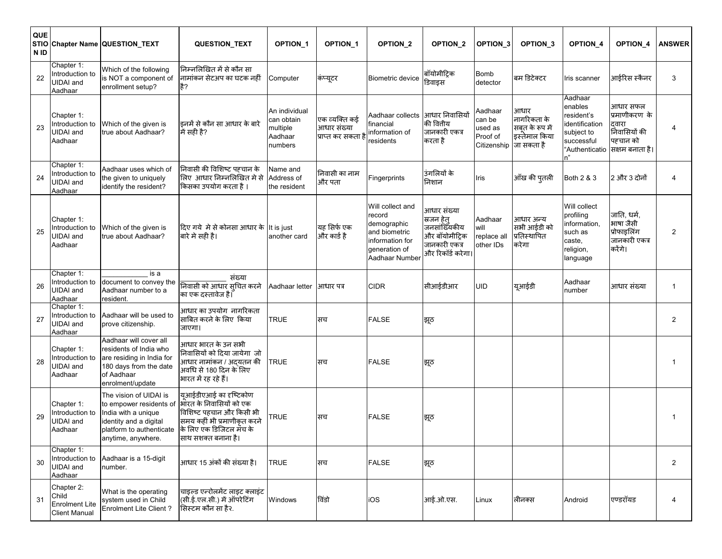| QUE<br>N ID |                                                                      | STIO Chapter Name QUESTION_TEXT                                                                                                                      | QUESTION_TEXT                                                                                                                                                  | <b>OPTION 1</b>                                               | <b>OPTION 1</b>                                    | OPTION_2                                                                                                         | <b>OPTION 2</b>                                                                                   | OPTION_3                                                | OPTION <sub>3</sub>                                                   | <b>OPTION 4</b>                                                                                        | OPTION <sub>4</sub>                                                                | <b>ANSWER</b>  |
|-------------|----------------------------------------------------------------------|------------------------------------------------------------------------------------------------------------------------------------------------------|----------------------------------------------------------------------------------------------------------------------------------------------------------------|---------------------------------------------------------------|----------------------------------------------------|------------------------------------------------------------------------------------------------------------------|---------------------------------------------------------------------------------------------------|---------------------------------------------------------|-----------------------------------------------------------------------|--------------------------------------------------------------------------------------------------------|------------------------------------------------------------------------------------|----------------|
| 22          | Chapter 1:<br>Introduction to<br>JIDAI and<br>Aadhaar                | Which of the following<br>is NOT a component of<br>enrollment setup?                                                                                 | निम्नलिखित में से कौन सा<br>नामांकन सेटअप का घटक नहीं<br>है?                                                                                                   | Computer                                                      | कंप्यूटर                                           | Biometric device                                                                                                 | बॉयोमीट्रिक<br>डिवाइस                                                                             | <b>Bomb</b><br>detector                                 | बम डिटेक्टर                                                           | Iris scanner                                                                                           | आईरिस स्कैनर                                                                       | 3              |
| 23          | Chapter 1:<br>Introduction to<br>UIDAI and<br>Aadhaar                | Which of the given is<br>true about Aadhaar?                                                                                                         | इनमें से कौन सा आधार के बारे<br>में सही है?                                                                                                                    | An individual<br>can obtain<br>multiple<br>Aadhaar<br>numbers | एक व्यक्ति कई<br>आधार संख्या<br>प्राप्त कर सकता है | Aadhaar collects  आधार निवासियों<br>financial<br>information of<br>esidents                                      | की वितीय<br>जानकारी एकत्र<br>करता है                                                              | Aadhaar<br>can be<br>used as<br>Proof of<br>Citizenship | आधार<br>नागरिकता के<br>सबूत के रूप में<br>इस्तेमाल किया<br>जा सकता है | Aadhaar<br>enables<br>resident's<br>identification<br>subject to<br>successful<br>"Authenticatio<br>n" | आधार सफल<br>प्रमाणीकरण के<br>दवारा<br>निवासियों की<br>पहचान को<br>सिक्षम बनाता है। | 4              |
| 24          | Chapter 1:<br>Introduction to<br>UIDAI and<br>Aadhaar                | Aadhaar uses which of<br>the given to uniquely<br>identify the resident?                                                                             | निवासी की विशिष्ट पहचान के<br>लिए आधार निम्नलिखित मे से<br>किसका उपयोग करता है ।                                                                               | Name and<br>Address of<br>the resident                        | निवासी का नाम<br>और पता                            | Fingerprints                                                                                                     | उंगलियों के<br>निशान                                                                              | Iris                                                    | आँख की पुतली                                                          | Both 2 & 3                                                                                             | 2 और 3 दोनों                                                                       | 4              |
| 25          | Chapter 1:<br>Introduction to<br><b>UIDAI</b> and<br>Aadhaar         | Which of the given is<br>true about Aadhaar?                                                                                                         | दिए गये  मे से कोनसा आधार के lit is just<br>बारे मे सही है।                                                                                                    | another card                                                  | यह सिर्फ एक<br> और कार्ड है                        | Will collect and<br>record<br>demographic<br>and biometric<br>information for<br>generation of<br>Aadhaar Number | आधार संख्या<br>स्रजन हेत्<br>जनसांख्यिकीय<br>और बॉयोमीट्रिक<br>जानकारी एकत्र<br>और रिकॉर्ड करेगा। | Aadhaar<br>will<br>replace all<br>other IDs             | आधार अन्य<br>सभी आईडी को<br>प्रतिस्थापित<br>करेगा                     | Will collect<br>profiling<br>information,<br>such as<br>caste,<br>religion,<br>language                | जाति, धर्म,<br>भाषा जैसी<br>प्रोफाडलिंग<br>जानकारी एकत्र<br>करेंगे।                | $\overline{2}$ |
| 26          | Chapter 1:<br>Introduction to<br><b>UIDAI</b> and<br>Aadhaar         | is a<br>document to convey the<br>Aadhaar number to a<br>resident.                                                                                   | संख्या<br>निवासी को आधार स् <b>चित कर</b> ने<br>का एक दस्तावेज है।                                                                                             | Aadhaar letter                                                | आधार पत्र                                          | CIDR                                                                                                             | सीआईडीआर                                                                                          | <b>UID</b>                                              | यूआईडी                                                                | Aadhaar<br>number                                                                                      | आधार संख्या                                                                        | $\mathbf{1}$   |
| 27          | Chapter 1:<br>Introduction to<br><b>UIDAI</b> and<br>Aadhaar         | Aadhaar will be used to<br>prove citizenship.                                                                                                        | आधार का उपयोग  नागरिकता<br>साबित करने के लिए किया<br>जाएगा।                                                                                                    | <b>TRUE</b>                                                   | सच                                                 | <b>FALSE</b>                                                                                                     | झूठ                                                                                               |                                                         |                                                                       |                                                                                                        |                                                                                    | $\overline{2}$ |
| 28          | Chapter 1:<br>Introduction to<br><b>JIDAI</b> and<br>Aadhaar         | Aadhaar will cover all<br>residents of India who<br>are residing in India for<br>180 days from the date<br>of Aadhaar<br>enrolment/update            | आधार भारत के उन सभी<br>निवासियों को दिया जायेगा जो<br>आधार नामांकन / अदयतन की<br>अवधि से 180 दिन के लिए<br>भारत में रह रहे हैं।                                | <b>TRUE</b>                                                   | सच                                                 | <b>FALSE</b>                                                                                                     | झूठ                                                                                               |                                                         |                                                                       |                                                                                                        |                                                                                    |                |
| 29          | Chapter 1:<br>Introduction to<br>JIDAI and<br>Aadhaar                | The vision of UIDAI is<br>to empower residents of<br>India with a unique<br>identity and a digital<br>platform to authenticate<br>anytime, anywhere. | यूआईडीएआई का दृष्टिकोण<br>भारत के निवासियों को एक<br>विशिष्ट पहचान और किसी भी<br>समय कहीं भी प्रमाणीकृत करने<br>के लिए एक डिजिटल मॅच के<br>साथ सशक्त बनाना है। | <b>TRUE</b>                                                   | सच                                                 | FALSE                                                                                                            | झूठ                                                                                               |                                                         |                                                                       |                                                                                                        |                                                                                    |                |
| 30          | Chapter 1:<br>Introduction to<br><b>UIDAI</b> and<br>Aadhaar         | Aadhaar is a 15-digit<br>number.                                                                                                                     | आधार 15 अंकों की संख्या है।                                                                                                                                    | <b>TRUE</b>                                                   | सच                                                 | <b>FALSE</b>                                                                                                     | झूठ                                                                                               |                                                         |                                                                       |                                                                                                        |                                                                                    | $\overline{2}$ |
| 31          | Chapter 2:<br>Child<br><b>Enrolment Lite</b><br><b>Client Manual</b> | What is the operating<br>system used in Child<br>Enrolment Lite Client?                                                                              | चाइल्ड एन्रोलमेंट लाइट क्लाइंट<br>(सी.ई.एल.सी.) में ऑपरेटिंग<br>सिस्टम कौन सा है२.                                                                             | Windows                                                       | विंडो                                              | iOS                                                                                                              | आई.ओ.एस.                                                                                          | Linux                                                   | लीनक्स                                                                | Android                                                                                                | एण्डरॉयड                                                                           | 4              |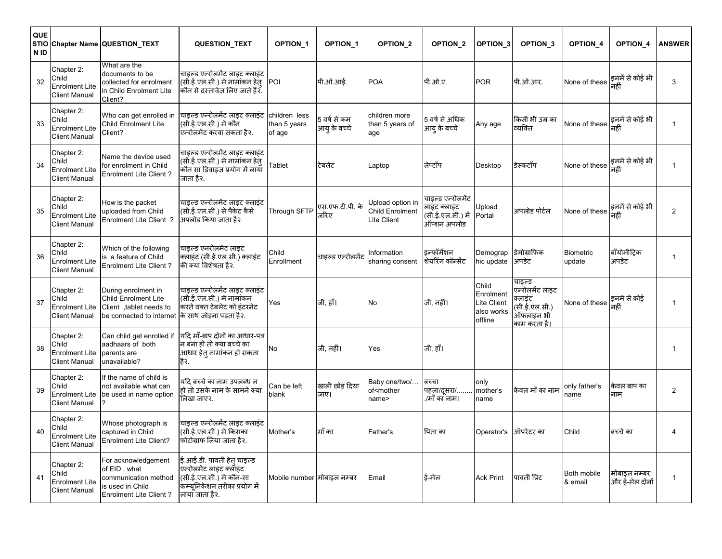| QUE<br><b>STIO</b><br>N ID |                                                                      | Chapter Name QUESTION_TEXT                                                                                | <b>QUESTION TEXT</b>                                                                                                                | <b>OPTION 1</b>                         | <b>OPTION 1</b>              | OPTION <sub>2</sub>                                 | OPTION <sub>2</sub>                                                   | OPTION <sub>3</sub>                                        | OPTION <sub>3</sub>                                                                     | <b>OPTION 4</b>                    | <b>OPTION 4</b>                | <b>ANSWER</b>  |
|----------------------------|----------------------------------------------------------------------|-----------------------------------------------------------------------------------------------------------|-------------------------------------------------------------------------------------------------------------------------------------|-----------------------------------------|------------------------------|-----------------------------------------------------|-----------------------------------------------------------------------|------------------------------------------------------------|-----------------------------------------------------------------------------------------|------------------------------------|--------------------------------|----------------|
| 32                         | Chapter 2:<br>Child<br><b>Enrolment Lite</b><br><b>Client Manual</b> | What are the<br>documents to be<br>collected for enrolment<br>in Child Enrolment Lite<br>Client?          | चाइल्ड एन्रोलमेंट लाइट क्लाइंट<br>(सी.ई.एल.सी.) में नामांकन हेतु<br>कौन से दस्तावेज़ लिए जाते हैं२.                                 | POI                                     | पी.ओ.आई.                     | POA                                                 | पी.ओ.ए.                                                               | <b>POR</b>                                                 | पी.ओ.आर.                                                                                | None of these                      | इनमें से कोई भी                | 3              |
| 33                         | Chapter 2:<br>Child<br><b>Enrolment Lite</b><br><b>Client Manual</b> | Who can get enrolled in<br><b>Child Enrolment Lite</b><br>Client?                                         | चाइल्ड एन्रोलमेंट लाइट क्लाइंट<br>(सी.ई.एल.सी.) में कौन<br>एन्रोलमेंट करवा सकता है२.                                                | children less<br>than 5 years<br>of age | 5 वर्ष से कम<br>आयु के बच्चे | children more<br>than 5 years of<br>aqe             | 5 वर्ष से अधिक<br>आयु के बच्चे                                        | Any age                                                    | किसी भी उम्र का<br>व्यक्ति                                                              | None of these                      | इनमें से कोई भी<br>नहीं        |                |
| 34                         | Chapter 2:<br>Child<br><b>Enrolment Lite</b><br>Client Manual        | Name the device used<br>for enrolment in Child<br>Enrolment Lite Client?                                  | चाइल्ड एन्रोलमेंट लाइट क्लाइंट<br>(सी.ई.एल.सी.) में नामांकन हेत्<br>कौन सा डिवाइज़ प्रयोग में लाया<br>जाता है२.                     | <b>Tablet</b>                           | टेबलेट                       | Laptop                                              | लेप्टॉप                                                               | Desktop                                                    | डेस्कटॉप                                                                                | None of these                      | इनमें से कोई भी                | 1              |
| 35                         | Chapter 2:<br>Child<br><b>Enrolment Lite</b><br><b>Client Manual</b> | How is the packet<br>uploaded from Child<br>Enrolment Lite Client ?                                       | चाइल्ड एन्रोलमेंट लाइट क्लाइंट<br>(सी.ई.एल.सी.) से पैकेट कैसे<br>अपलोड किया जाता है२.                                               | Through SFTP                            | एस.एफ.टी.पी. के<br>जरिए      | Jpload option in<br>Child Enrolment<br>Lite Client  | चाइल्ड एन्रोलमेंट<br>लाइट क्लाइंट<br>(सी.ई.एल.सी.) में<br>ऑप्शन अपलोड | Upload<br>Portal                                           | अपलोड पोर्टल                                                                            | None of these                      | इनमें से कोई भी<br>नहीं        | $\overline{2}$ |
| 36                         | Chapter 2:<br>Child<br><b>Enrolment Lite</b><br>Client Manual        | Which of the following<br>is a feature of Child<br><b>Enrolment Lite Client ?</b>                         | चाइल्ड एनरोलमेंट लाइट<br>क्लाइंट (सी.ई.एल.सी.) क्लाइंट<br>की क्या विशेषता है२.                                                      | Child<br>Enrollment                     | चाइल्ड एन्रोलमेंट            | nformation<br>sharing consent                       | इन्फॉर्मेशन<br>शेयरिंग कॉन्सेंट                                       | Demograp<br>hic update                                     | डेमोग्राफिक<br>अपडेट                                                                    | <b>Biometric</b><br>update         | बॉयोमीट्रिक<br>अपडेट           | $\mathbf{1}$   |
| 37                         | Chapter 2:<br>Child<br>Enrolment Lite<br>Client Manual               | During enrolment in<br><b>Child Enrolment Lite</b><br>Client, tablet needs to<br>be connected to internet | चाइल्ड एन्रोलमेंट लाइट क्लाइंट<br>(सी.ई.एल.सी.) में नामांकन<br>करते वक्त टेबलेट को इंटरनेट<br>के साथ जोड़ना पड़ता है२.              | Yes                                     | जी, हाँ।                     | No                                                  | जी, नहीं।                                                             | Child<br>Enrolment<br>Lite Client<br>also works<br>offline | चाइल्ड<br>एन्रोलमेंट लाइट<br>क्लाइंट<br>(सी.ई.एल.सी.)<br>.<br>ऑफलाइन भी<br>काम करता है। | None of these इनमें से कोई<br>नहीं |                                | -1             |
| 38                         | Chapter 2:<br>Child<br><b>Enrolment Lite</b><br><b>Client Manual</b> | Can child get enrolled if<br>aadhaars of both<br>parents are<br>unavailable?                              | यदि माँ-बाप दोनों का आधार-पत्र<br>न बना हो तो क्या बच्चे का<br>आधार हेत् नामांकन हो सकता<br>है२.                                    | No                                      | जी, नहीं।                    | Yes                                                 | जी, हाँ।                                                              |                                                            |                                                                                         |                                    |                                | $\mathbf{1}$   |
| 39                         | Chapter 2:<br>Child<br>Enrolment Lite<br><b>Client Manual</b>        | If the name of child is<br>not available what can<br>be used in name option                               | यदि बच्चे का नाम उपलब्ध न<br>हो तो उसके नाम के सामने क्या<br>लिखा जाए२.                                                             | Can be left<br>blank                    | खाली छोड़ दिया<br>जाए।       | Baby one/two/<br>of <mother<br>name&gt;</mother<br> | बच्चा<br>पहला/दूसरा/<br>/माँ का नाम।                                  | only<br>mother's<br>name                                   | केवल माँ का नाम                                                                         | only father's<br>name              | केवल बाप का<br>नाम             | 2              |
| 40                         | Chapter 2:<br>Child<br><b>Enrolment Lite</b><br><b>Client Manual</b> | Whose photograph is<br>captured in Child<br><b>Enrolment Lite Client?</b>                                 | चाइल्ड एन्रोलमेंट लाइट क्लाइंट<br>(सी.ई.एल.सी.) में किसका<br>फोटोग्राफ लिया जाता है२.                                               | Mother's                                | माँ का                       | Father's                                            | पिता का                                                               | Operator's                                                 | ऑपरेटर का                                                                               | Child                              | बच्चे का                       | $\overline{4}$ |
| 41                         | Chapter 2:<br>Child<br><b>Enrolment Lite</b><br><b>Client Manual</b> | For acknowledgement<br>of EID, what<br>communication method<br>is used in Child<br>Enrolment Lite Client? | ई.आई.डी. पावती हेत् चाइल्ड<br>एन्रोलमेंट लाइट क्लॉइंट<br>(सी.ई.एल.सी.) में कौन-सा<br>कम्यूनिकेशन तरीका प्रयोग में<br>लाया जाता है२. | Mobile number मोबाइल नम्बर              |                              | Email                                               | ई-मेल                                                                 | <b>Ack Print</b>                                           | पावती प्रिंट                                                                            | Both mobile<br>& email             | मोबाइल नम्बर<br>और ई-मेल दोनों |                |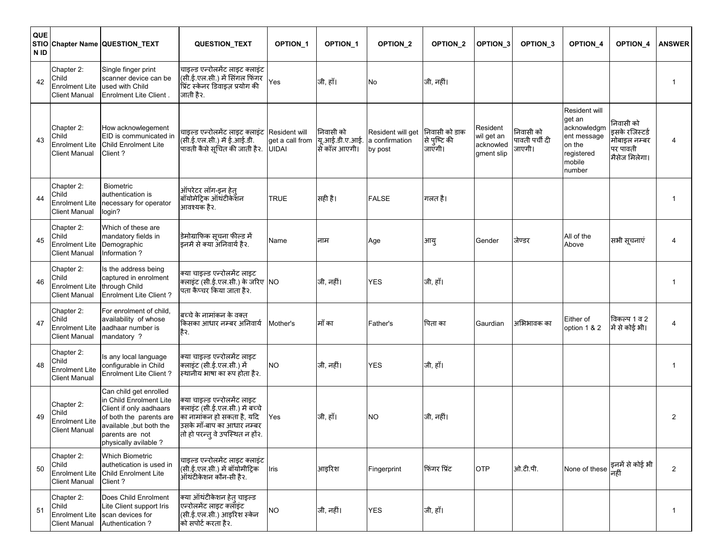| QUE<br>N ID |                                                                      | STIO Chapter Name QUESTION_TEXT                                                                                                                                               | QUESTION_TEXT                                                                                                                                                 | <b>OPTION 1</b>                 | <b>OPTION 1</b>                             | OPTION_2                                       | OPTION_2                                | OPTION_3                                          | OPTION_3                              | OPTION <sub>4</sub>                                                                               | OPTION_4                                                                 | <b>ANSWER</b>  |
|-------------|----------------------------------------------------------------------|-------------------------------------------------------------------------------------------------------------------------------------------------------------------------------|---------------------------------------------------------------------------------------------------------------------------------------------------------------|---------------------------------|---------------------------------------------|------------------------------------------------|-----------------------------------------|---------------------------------------------------|---------------------------------------|---------------------------------------------------------------------------------------------------|--------------------------------------------------------------------------|----------------|
| 42          | Chapter 2:<br>Child<br>Enrolment Lite<br>Client Manual               | Single finger print<br>scanner device can be<br>used with Child<br><b>Enrolment Lite Client.</b>                                                                              | चाइल्ड एन्रोलमेंट लाइट क्लाइंट<br>(सी.ई.एल.सी.) में सिंगल फिंगर<br>प्रिंट स्केनर डिवाइज़ प्रयोग की<br>जाती है२.                                               | Yes                             | जी, हाँ।                                    | No                                             | जी, नहीं।                               |                                                   |                                       |                                                                                                   |                                                                          | 1              |
| 43          | Chapter 2:<br>Child<br><b>Enrolment Lite</b><br><b>Client Manual</b> | How acknowlegement<br>EID is communicated in<br>Child Enrolment Lite<br>Client?                                                                                               | चाइल्ड एन्रोलमेंट लाइट क्लाइंट Resident will<br>(सी.ई.एल.सी.) में ई.आई.डी.<br>पावती कैसे सूचित की जाती है२.                                                   | get a call from<br><b>UIDAI</b> | निवासी को<br>यू.आई.डी.ए.आई.<br>सि कॉल आएगी। | Resident will get<br>a confirmation<br>by post | निवासी को डाक<br>से पुष्टि की<br>जाएगी। | Resident<br>wil get an<br>acknowled<br>gment slip | निवासी को<br>पावती पर्ची दी<br>जाएगी। | Resident will<br>get an<br>acknowledgm<br>ent message<br>on the<br>registered<br>mobile<br>number | निवासी को<br>इसके रजिस्टर्ड<br>मोबाइल नम्बर<br>पर पावती<br>मैसेज मिलेगा। | 4              |
| 44          | Chapter 2:<br>Child<br>Enrolment Lite<br>Client Manual               | <b>Biometric</b><br>authentication is<br>necessary for operator<br>login?                                                                                                     | ऑपरेटर लॉग-इन हेत्<br>बॉयोमेट्रिक ऑथंटीकेशन<br>आवश्यक है२.                                                                                                    | <b>TRUE</b>                     | सही है।                                     | <b>FALSE</b>                                   | गलत है।                                 |                                                   |                                       |                                                                                                   |                                                                          | 1              |
| 45          | Chapter 2:<br>Child<br><b>Enrolment Lite</b><br><b>Client Manual</b> | Which of these are<br>mandatory fields in<br>Demographic<br>Information?                                                                                                      | डेमोग्राफिक सूचना फील्ड में<br>इनमें से क्या अनिवार्य है२.                                                                                                    | Name                            | नाम                                         | Age                                            | आयु                                     | Gender                                            | जेण्डर                                | All of the<br>Above                                                                               | सभी सूचनाएं                                                              | 4              |
| 46          | Chapter 2:<br>Child<br><b>Enrolment Lite</b><br>Client Manual        | Is the address being<br>captured in enrolment<br>through Child<br><b>Enrolment Lite Client?</b>                                                                               | क्या चाइल्ड एन्रोलमेंट लाइट<br>क्लाइंट (सी.ई.एल.सी.) के जरिए NO<br>पता कैप्चर किया जाता है२.                                                                  |                                 | जी, नहीं।                                   | <b>YES</b>                                     | जी, हाँ।                                |                                                   |                                       |                                                                                                   |                                                                          | $\mathbf{1}$   |
| 47          | Chapter 2:<br>Child<br><b>Enrolment Lite</b><br><b>Client Manual</b> | For enrolment of child,<br>availability of whose<br>aadhaar number is<br>mandatory ?                                                                                          | बच्चे के नामांकन के वक्त<br>किसका आधार नम्बर अनिवार्य<br>है२.                                                                                                 | Mother's                        | माँ का                                      | Father's                                       | पिता का                                 | Gaurdian                                          | अभिभावक का                            | Either of<br>option 1 & 2                                                                         | विकल्प 1 व 2<br>में से कोई भी।                                           | 4              |
| 48          | Chapter 2:<br>Child<br><b>Enrolment Lite</b><br><b>Client Manual</b> | Is any local language<br>configurable in Child<br><b>Enrolment Lite Client?</b>                                                                                               | क्या चाइल्ड एन्रोलमेंट लाइट<br>क्लाइंट (सी.ई.एल.सी.) में<br>स्थानीय भाषा का रूप होता है२.                                                                     | <b>NO</b>                       | जी, नहीं।                                   | YES                                            | जी, हाँ।                                |                                                   |                                       |                                                                                                   |                                                                          | $\mathbf{1}$   |
| 49          | Chapter 2:<br>Child<br><b>Enrolment Lite</b><br><b>Client Manual</b> | Can child get enrolled<br>in Child Enrolment Lite<br>Client if only aadhaars<br>of both the parents are<br>available, but both the<br>parents are not<br>physically avilable? | क्या चाइल्ड एन्रोलमेंट लाइट<br>क्लाइंट (सी.ई.एल.सी.) में बच्चे<br>का नामांकन हो सकता है, यदि<br>उसके माँ-बाप का आधार नम्बर<br>तो हो परन्तु वे उपस्थित न हों२. | Yes                             | जी, हाँ।                                    | NΟ                                             | जी, नहीं।                               |                                                   |                                       |                                                                                                   |                                                                          | 2              |
| 50          | Chapter 2:<br>Child<br><b>Enrolment Lite</b><br><b>Client Manual</b> | <b>Which Biometric</b><br>authetication is used in<br>Child Enrolment Lite<br>Client?                                                                                         | चाइल्ड एन्रोलमेंट लाइट क्लाइंट<br>(सी.ई.एल.सी.) में बॉयोमीट्रिक<br>ऑथंटीकेशन कौन-सी हैर.                                                                      | Iris                            | आइरिश                                       | Fingerprint                                    | फिंगर प्रिंट                            | <b>OTP</b>                                        | ओ.टी.पी.                              | None of these                                                                                     | इनमें से कोई भी                                                          | $\overline{2}$ |
| 51          | Chapter 2:<br>Child<br><b>Enrolment Lite</b><br><b>Client Manual</b> | Does Child Enrolment<br>Lite Client support Iris<br>scan devices for<br>Authentication?                                                                                       | क्या ऑथंटीकेशन हेत् चाइल्ड<br>एन्रोलमेंट लाइट क्लॉइंट<br>(सी.ई.एल.सी.) आइरिश स्केन<br>को सपोर्ट करता है२.                                                     | <b>NO</b>                       | जी, नहीं।                                   | <b>YES</b>                                     | जी, हाँ।                                |                                                   |                                       |                                                                                                   |                                                                          | $\mathbf{1}$   |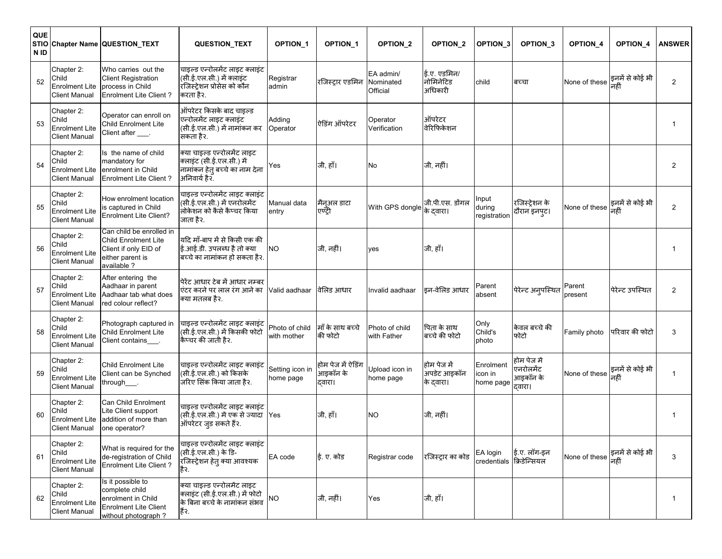| QUE<br><b>STIO</b><br>N ID |                                                                      | Chapter Name QUESTION_TEXT                                                                                          | <b>QUESTION_TEXT</b>                                                                                        | <b>OPTION 1</b>               | <b>OPTION 1</b>                         | OPTION <sub>2</sub>                | <b>OPTION 2</b>                         | OPTION_3                             | OPTION <sub>3</sub>                             | <b>OPTION 4</b>   | OPTION_4                | <b>ANSWER</b> |
|----------------------------|----------------------------------------------------------------------|---------------------------------------------------------------------------------------------------------------------|-------------------------------------------------------------------------------------------------------------|-------------------------------|-----------------------------------------|------------------------------------|-----------------------------------------|--------------------------------------|-------------------------------------------------|-------------------|-------------------------|---------------|
| 52                         | Chapter 2:<br>Child<br><b>Enrolment Lite</b><br>Client Manual        | Who carries out the<br><b>Client Registration</b><br>process in Child<br><b>Enrolment Lite Client?</b>              | चाइल्ड एन्रोलमेंट लाइट क्लाइंट<br>(सी.ई.एल.सी.) में क्लाइंट<br>रजिस्ट्रेशन प्रोसेस को कौन<br>करता है२.      | Registrar<br>admin            | रजिस्ट्रार एडमिन                        | EA admin/<br>Nominated<br>Official | ई.ए. एडमिन/<br>नोमिनेटिड<br>अधिकारी     | child                                | बच्चा                                           | None of these     | इनमें से कोई भी         | 2             |
| 53                         | Chapter 2:<br>Child<br><b>Enrolment Lite</b><br><b>Client Manual</b> | Operator can enroll on<br>Child Enrolment Lite<br>Client after ___.                                                 | ऑपरेटर किसके बाद चाइल्ड<br>एन्रोलमेंट लाइट क्लाइंट<br>(सी.ई.एल.सी.) में नामांकन कर<br>सकता है२.             | Adding<br>Operator            | ऐडिंग ऑपरेटर                            | Operator<br>Verification           | ऑपरेटर<br>वेरिफिकेशन                    |                                      |                                                 |                   |                         |               |
| 54                         | Chapter 2:<br>Child<br><b>Enrolment Lite</b><br>Client Manual        | Is the name of child<br>mandatory for<br>enrolment in Child<br><b>Enrolment Lite Client?</b>                        | क्या चाइल्ड एन्रोलमेंट लाइट<br>क्लाइंट (सी.ई.एल.सी.) में<br>नामांकन हेत् बच्चे का नाम देना<br>अनिवार्य है२. | Yes                           | जी, हाँ।                                | No                                 | जी, नहीं।                               |                                      |                                                 |                   |                         | 2             |
| 55                         | Chapter 2:<br>Child<br>Enrolment Lite<br><b>Client Manual</b>        | How enrolment location<br>is captured in Child<br><b>Enrolment Lite Client?</b>                                     | चाइल्ड एन्रोलमेंट लाइट क्लाइंट<br>(सी.ई.एल.सी.) में एनरोलमेंट<br>लोकेशन को कैसे कैप्चर किया<br>जाता है२.    | Manual data<br>entry          | मैन्अल डाटा<br>एण्टी                    | With GPS dongle                    | जी.पी.एस. डोंगल<br>के दवारा।            | Input<br>during<br>registration      | रजिस्ट्रेशन के<br> दौरान इनपट।                  | None of these     | इनमें से कोई भी<br>नहीं | 2             |
| 56                         | Chapter 2:<br>Child<br><b>Enrolment Lite</b><br>Client Manual        | Can child be enrolled in<br><b>Child Enrolment Lite</b><br>Client if only EID of<br>either parent is<br>available ? | यदि माँ-बाप में से किसी एक की<br>ई.आई.डी. उपलब्ध है तो क्या<br>बच्चे का नामांकन हो सकता है२.                | <b>NO</b>                     | जी, नहीं।                               | ves                                | जी, हाँ।                                |                                      |                                                 |                   |                         |               |
| 57                         | Chapter 2:<br>Child<br><b>Enrolment Lite</b><br><b>Client Manual</b> | After entering the<br>Aadhaar in parent<br>Aadhaar tab what does<br>red colour reflect?                             | पेरेंट आधार टेब में आधार नम्बर<br>एंटर करने पर लाल रंग आने का<br>क्या मतलब है२.                             | Valid aadhaar                 | वेलिड आधार                              | Invalid aadhaar                    | इन-वेलिड आधार                           | Parent<br>absent                     | पेरेन्ट अनुपस्थित                               | Parent<br>present | पेरेन्ट उपस्थित         | 2             |
| 58                         | Chapter 2:<br>Child<br><b>Enrolment Lite</b><br><b>Client Manual</b> | Photograph captured in<br><b>Child Enrolment Lite</b><br>Client contains___.                                        | चाइल्ड एन्रोलमेंट लाइट क्लाइंट<br>(सी.ई.एल.सी.) में किसकी फोटो<br>कैप्चर की जाती है२.                       | Photo of child<br>with mother | माँ के साथ बच्चे<br>की फोटो             | Photo of child<br>with Father      | पिता के साथ<br>बच्चे की फोटो            | Only<br>Child's<br>photo             | केवल बच्चे की<br>फोटो                           | Family photo      | परिवार की फोटो          | 3             |
| 59                         | Chapter 2:<br>Child<br>Enrolment Lite<br><b>Client Manual</b>        | <b>Child Enrolment Lite</b><br>Client can be Synched<br>through____.                                                | चाइल्ड एन्रोलमेंट लाइट क्लाइंट<br>(सी.ई.एल.सी.) को किसके<br>जरिए सिंक किया जाता है२.                        | Setting icon in<br>home page  | होम पेज में ऐडिंग<br>आइकॉन के<br>दवारा। | Upload icon in<br>home page        | होम पेज में<br>अपडेट आइकॉन<br>के दवारा। | Enrolment<br>icon in<br>home page    | होम पेज में<br>एनरोलमेंट<br>आइकॉन के<br>द्वारा। | None of these     | इनमें से कोई भी         | $\mathbf{1}$  |
| 60                         | Chapter 2:<br>Child<br>Enrolment Lite<br><b>Client Manual</b>        | Can Child Enrolment<br>Lite Client support<br>addition of more than<br>one operator?                                | चाइल्ड एन्रोलमेंट लाइट क्लाइंट<br>(सी.ई.एल.सी.) में एक से ज्यादा<br>ऑपरेटर जुड सकते हैं२.                   | Yes                           | जी, हाँ।                                | <b>NO</b>                          | जी, नहीं।                               |                                      |                                                 |                   |                         |               |
| 61                         | Chapter 2:<br>Child<br><b>Enrolment Lite</b><br><b>Client Manual</b> | What is required for the<br>de-registration of Child<br>Enrolment Lite Client?                                      | चाइल्ड एन्रोलमेंट लाइट क्लाइंट<br>(सी.ई.एल.सी.) के डि-<br>रजिस्ट्रेशन हेत् क्या आवश्यक<br>है२.              | EA code                       | ई. ए. कोड                               | Registrar code                     | रजिस्ट्रार का कोड                       | EA login<br>credentials क्रिडेन्सियल | ई.ए. लॉग-इन                                     | None of these     | इनमें से कोई भी         | 3             |
| 62                         | Chapter 2:<br>Child<br><b>Enrolment Lite</b><br><b>Client Manual</b> | Is it possible to<br>complete child<br>enrolment in Child<br><b>Enrolment Lite Client</b><br>without photograph ?   | क्या चाइल्ड एन्रोलमेंट लाइट<br>क्लाइंट (सी.ई.एल.सी.) में फोटो<br>के बिना बच्चे के नामांकन संभव<br>हैं२.     | <b>NO</b>                     | जी, नहीं।                               | Yes                                | जी, हाँ।                                |                                      |                                                 |                   |                         | $\mathbf{1}$  |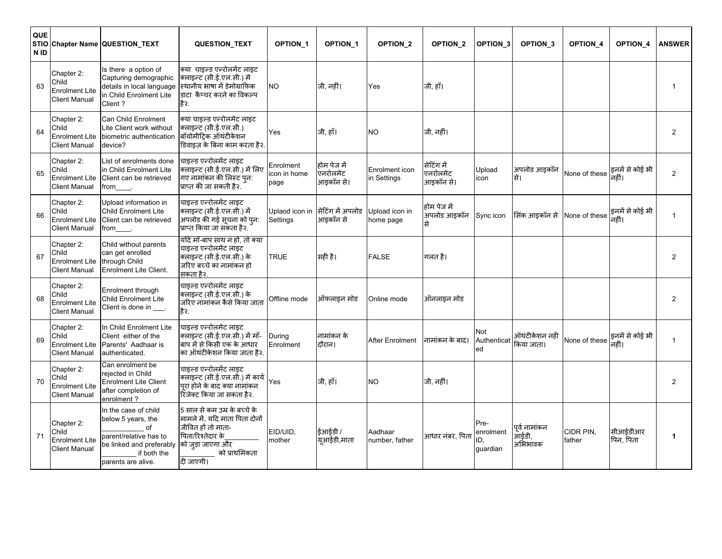| QUE<br>N ID |                                                                      | STIO Chapter Name QUESTION_TEXT                                                                                                             | <b>QUESTION_TEXT</b>                                                                                                                                        | <b>OPTION 1</b>                   | <b>OPTION 1</b>                       | OPTION <sub>2</sub>           | OPTION <sub>2</sub>                  | <b>OPTION 3</b>                      | OPTION <sub>3</sub>               | OPTION <sub>4</sub> | <b>OPTION 4</b>          | <b>ANSWER</b>  |
|-------------|----------------------------------------------------------------------|---------------------------------------------------------------------------------------------------------------------------------------------|-------------------------------------------------------------------------------------------------------------------------------------------------------------|-----------------------------------|---------------------------------------|-------------------------------|--------------------------------------|--------------------------------------|-----------------------------------|---------------------|--------------------------|----------------|
| 63          | Chapter 2:<br>Child<br>Enrolment Lite<br><b>Client Manual</b>        | Is there a option of<br>Capturing demographic<br>details in local language<br>in Child Enrolment Lite<br>Client ?                           | क्या) चाइल्ड एन्रोलमेंट लाइट<br>क्लाइन्ट (सी.ई.एल.सी.) में<br>स्थिानीय भाषा में डेमोग्राफिक<br>lडाटा  कैप्चर करने का विकल्प<br>हैर.                         | <b>NO</b>                         | जी. नहीं।                             | Yes                           | जी, हाँ।                             |                                      |                                   |                     |                          |                |
| 64          | Chapter 2:<br>Child<br>Enrolment Lite<br><b>Client Manual</b>        | Can Child Enrolment<br>Lite Client work without<br>biometric authentication<br>device?                                                      | क्या चाइल्ड एन्रोलमेंट लाइट<br>क्लाइन्ट (सी.ई.एल.सी.)<br>बॉयोमीट्रिक ऑथंटीकेशन<br>डिवाइज के बिना काम करता है२.                                              | Yes                               | जी, हाँ।                              | <b>NO</b>                     | जी, नहीं।                            |                                      |                                   |                     |                          | 2              |
| 65          | Chapter 2:<br>Child<br><b>Enrolment Lite</b><br><b>Client Manual</b> | List of enrolments done<br>in Child Enrolment Lite<br>Client can be retrieved<br>from                                                       | चाइल्ड एन्रोलमेंट लाइट<br>क्लाइन्ट (सी.ई.एल.सी.) में लिए<br>गए नामांकन की लिस्ट पुन:<br>प्राप्त की जा सकती है२.                                             | Enrolment<br>icon in home<br>page | होम पेज में<br>एनरोलमेंट<br>आइकॉन से। | Enrolment icon<br>in Settings | सेटिंग में<br>एनरोलमेंट<br>आइकॉन से। | Upload<br>icon                       | अपलोड आइकॉन<br>सि।                | None of these       | इनमें से कोई भी<br>नहीं। | 2              |
| 66          | Chapter 2:<br>Child<br><b>Enrolment Lite</b><br><b>Client Manual</b> | Upload information in<br>Child Enrolment Lite<br>Client can be retrieved<br>from                                                            | चाइल्ड एन्रोलमेंट लाइट<br>क्लाइन्ट (सी.ई.एल.सी.) में<br>अपलोड की गई सूचना को प्न:<br>प्राप्त किया जा संकता है२.                                             | Uplaod icon in<br>Settings        | सिटिंग में अपलोड<br>आडकॉन से          | Jpload icon in<br>home page   | होम पेज में<br>अपलोड आइकॉन           | Sync icon                            | सिंक आइकॉन से                     | None of these       | इनमें से कोई भी<br>नहीं। | $\mathbf{1}$   |
| 67          | Chapter 2:<br>Child<br><b>Enrolment Lite</b><br><b>Client Manual</b> | Child without parents<br>can get enrolled<br>through Child<br>Enrolment Lite Client.                                                        | यदि मॉं-बाप साथ न हों, तो क्या<br>चाइल्ड एन्रोलमेंट लाइट<br>क्लाइन्ट (सी.ई.एल.सी.) के<br>जरिए बच्चे का नामांकन हो<br>सकता है२.                              | TRUE                              | सही है।                               | <b>FALSE</b>                  | गलत है।                              |                                      |                                   |                     |                          | 2              |
| 68          | Chapter 2:<br>Child<br><b>Enrolment Lite</b><br><b>Client Manual</b> | Enrolment through<br>Child Enrolment Lite<br>Client is done in ___.                                                                         | चाइल्ड एन्रोलमेंट लाइट<br>क्लाइन्ट (सी.ई.एल.सी.) के<br>जरिए नामांकन कैसे किया जाता<br>हैर.                                                                  | Offline mode                      | ऑफलाइन मोड                            | Online mode                   | ऑनलाइन मोड                           |                                      |                                   |                     |                          | $\overline{2}$ |
| 69          | Chapter 2:<br>Child<br><b>Enrolment Lite</b><br><b>Client Manual</b> | In Child Enrolment Lite<br>Client either of the<br>Parents' Aadhaar is<br>authenticated.                                                    | चाइल्ड एन्रोलमेंट लाइट<br>क्लाइन्ट (सी.ई.एल.सी.) में माँ-<br>बाप में से किसी एक के आधार<br>का ऑथंटीकेशन किया जाता है२.                                      | During<br>Enrolment               | नामांकन के<br>दौरान।                  | After Enrolment               | नामांकन के बाद।                      | Not<br>Authenticat<br>ed             | ऑथंटीकेशन नही<br>किया जाता।       | None of these       | इनमें से कोई भी<br>नहीं। | -1             |
| 70          | Chapter 2:<br>Child<br><b>Enrolment Lite</b><br><b>Client Manual</b> | Can enrolment be<br>reiected in Child<br><b>Enrolment Lite Client</b><br>after completion of<br>enrolment?                                  | चाइल्ड एन्रोलमेंट लाइट<br>क्लाइन्ट (सी.ई.एल.सी.) में कार्य<br>पुरा होने के बाद क्या नामांकन<br>रिजेक्ट किया जा सकता है२.                                    | Yes                               | जी, हाँ।                              | <b>NO</b>                     | जी, नहीं।                            |                                      |                                   |                     |                          | $\overline{2}$ |
| 71          | Chapter 2:<br>Child<br><b>Enrolment Lite</b><br><b>Client Manual</b> | In the case of child<br>below 5 years, the<br>of<br>parent/relative has to<br>be linked and preferably<br>if both the<br>parents are alive. | 5 साल से कम उम्र के बच्चे के<br>मामले में, यदि माता पिता दोनों<br>जीवित हों तो माता-<br>पिता/रिश्तेदार के<br>को जड़ा जाएगा और<br>को प्राथमिकता<br>दी जाएगी। | EID/UID.<br>mother                | ईआईडी /<br>यूआईडी,माता                | Aadhaar<br>number, father     | आधार नंबर. पिता                      | Pre-<br>enrolment<br>ID.<br>guardian | पूर्व नामांकन<br>आईडी,<br>अभिभावक | CIDR PIN.<br>father | सीआईडीआर<br>पिन, पिता    | -1             |